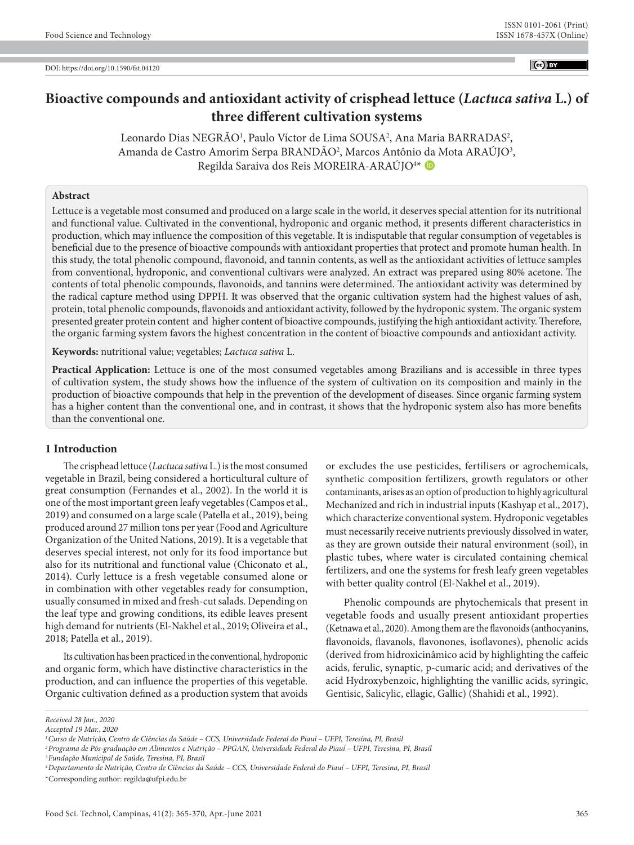$(c)$  BY

# **Bioactive compounds and antioxidant activity of crisphead lettuce (***Lactuca sativa* **L.) of three different cultivation systems**

Leonardo Dias NEGRÃO<sup>1</sup>, Paulo Víctor de Lima SOUSA<sup>2</sup>, Ana Maria BARRADAS<sup>2</sup>, Amanda de Castro Amorim Serpa BRANDÃO<sup>2</sup>, Marcos Antônio da Mota ARAÚJO<sup>3</sup>, Regilda Saraiva dos Reis MOREIRA-ARAÚJO<sup>4\*</sup>

#### **Abstract**

Lettuce is a vegetable most consumed and produced on a large scale in the world, it deserves special attention for its nutritional and functional value. Cultivated in the conventional, hydroponic and organic method, it presents different characteristics in production, which may influence the composition of this vegetable. It is indisputable that regular consumption of vegetables is beneficial due to the presence of bioactive compounds with antioxidant properties that protect and promote human health. In this study, the total phenolic compound, flavonoid, and tannin contents, as well as the antioxidant activities of lettuce samples from conventional, hydroponic, and conventional cultivars were analyzed. An extract was prepared using 80% acetone. The contents of total phenolic compounds, flavonoids, and tannins were determined. The antioxidant activity was determined by the radical capture method using DPPH. It was observed that the organic cultivation system had the highest values of ash, protein, total phenolic compounds, flavonoids and antioxidant activity, followed by the hydroponic system. The organic system presented greater protein content and higher content of bioactive compounds, justifying the high antioxidant activity. Therefore, the organic farming system favors the highest concentration in the content of bioactive compounds and antioxidant activity.

**Keywords:** nutritional value; vegetables; *Lactuca sativa* L.

**Practical Application:** Lettuce is one of the most consumed vegetables among Brazilians and is accessible in three types of cultivation system, the study shows how the influence of the system of cultivation on its composition and mainly in the production of bioactive compounds that help in the prevention of the development of diseases. Since organic farming system has a higher content than the conventional one, and in contrast, it shows that the hydroponic system also has more benefits than the conventional one.

## **1 Introduction**

The crisphead lettuce (*Lactuca sativa* L.) is the most consumed vegetable in Brazil, being considered a horticultural culture of great consumption (Fernandes et al., 2002). In the world it is one of the most important green leafy vegetables (Campos et al., 2019) and consumed on a large scale (Patella et al., 2019), being produced around 27 million tons per year (Food and Agriculture Organization of the United Nations, 2019). It is a vegetable that deserves special interest, not only for its food importance but also for its nutritional and functional value (Chiconato et al., 2014). Curly lettuce is a fresh vegetable consumed alone or in combination with other vegetables ready for consumption, usually consumed in mixed and fresh-cut salads. Depending on the leaf type and growing conditions, its edible leaves present high demand for nutrients (El-Nakhel et al., 2019; Oliveira et al., 2018; Patella et al., 2019).

Its cultivation has been practiced in the conventional, hydroponic and organic form, which have distinctive characteristics in the production, and can influence the properties of this vegetable. Organic cultivation defined as a production system that avoids or excludes the use pesticides, fertilisers or agrochemicals, synthetic composition fertilizers, growth regulators or other contaminants, arises as an option of production to highly agricultural Mechanized and rich in industrial inputs (Kashyap et al., 2017), which characterize conventional system. Hydroponic vegetables must necessarily receive nutrients previously dissolved in water, as they are grown outside their natural environment (soil), in plastic tubes, where water is circulated containing chemical fertilizers, and one the systems for fresh leafy green vegetables with better quality control (El-Nakhel et al., 2019).

Phenolic compounds are phytochemicals that present in vegetable foods and usually present antioxidant properties (Ketnawa et al., 2020). Among them are the flavonoids (anthocyanins, flavonoids, flavanols, flavonones, isoflavones), phenolic acids (derived from hidroxicinâmico acid by highlighting the caffeic acids, ferulic, synaptic, p-cumaric acid; and derivatives of the acid Hydroxybenzoic, highlighting the vanillic acids, syringic, Gentisic, Salicylic, ellagic, Gallic) (Shahidi et al., 1992).

*Received 28 Jan., 2020*

*Accepted 19 Mar., 2020*

*<sup>1</sup>Curso de Nutrição, Centro de Ciências da Saúde – CCS, Universidade Federal do Piauí – UFPI, Teresina, PI, Brasil*

*<sup>2</sup>Programa de Pós-graduação em Alimentos e Nutrição – PPGAN, Universidade Federal do Piauí – UFPI, Teresina, PI, Brasil*

*<sup>3</sup>Fundação Municipal de Saúde, Teresina, PI, Brasil*

*<sup>4</sup>Departamento de Nutrição, Centro de Ciências da Saúde – CCS, Universidade Federal do Piauí – UFPI, Teresina, PI, Brasil* \*Corresponding author: regilda@ufpi.edu.br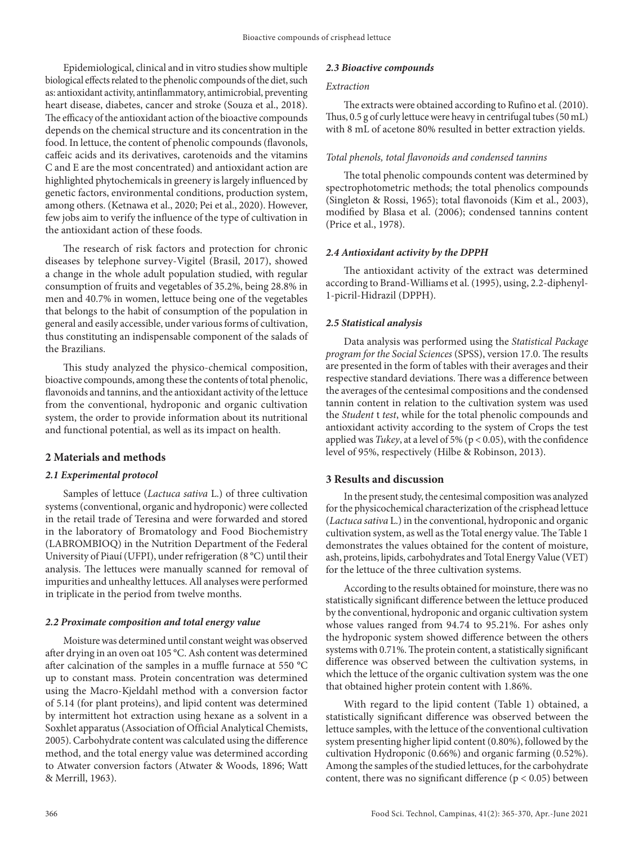Epidemiological, clinical and in vitro studies show multiple biological effects related to the phenolic compounds of the diet, such as: antioxidant activity, antinflammatory, antimicrobial, preventing heart disease, diabetes, cancer and stroke (Souza et al., 2018). The efficacy of the antioxidant action of the bioactive compounds depends on the chemical structure and its concentration in the food. In lettuce, the content of phenolic compounds (flavonols, caffeic acids and its derivatives, carotenoids and the vitamins C and E are the most concentrated) and antioxidant action are highlighted phytochemicals in greenery is largely influenced by genetic factors, environmental conditions, production system, among others. (Ketnawa et al., 2020; Pei et al., 2020). However, few jobs aim to verify the influence of the type of cultivation in the antioxidant action of these foods.

The research of risk factors and protection for chronic diseases by telephone survey-Vigitel (Brasil, 2017), showed a change in the whole adult population studied, with regular consumption of fruits and vegetables of 35.2%, being 28.8% in men and 40.7% in women, lettuce being one of the vegetables that belongs to the habit of consumption of the population in general and easily accessible, under various forms of cultivation, thus constituting an indispensable component of the salads of the Brazilians.

This study analyzed the physico-chemical composition, bioactive compounds, among these the contents of total phenolic, flavonoids and tannins, and the antioxidant activity of the lettuce from the conventional, hydroponic and organic cultivation system, the order to provide information about its nutritional and functional potential, as well as its impact on health.

# **2 Materials and methods**

#### *2.1 Experimental protocol*

Samples of lettuce (*Lactuca sativa* L.) of three cultivation systems (conventional, organic and hydroponic) were collected in the retail trade of Teresina and were forwarded and stored in the laboratory of Bromatology and Food Biochemistry (LABROMBIOQ) in the Nutrition Department of the Federal University of Piauí (UFPI), under refrigeration (8 °C) until their analysis. The lettuces were manually scanned for removal of impurities and unhealthy lettuces. All analyses were performed in triplicate in the period from twelve months.

# *2.2 Proximate composition and total energy value*

Moisture was determined until constant weight was observed after drying in an oven oat 105 °C. Ash content was determined after calcination of the samples in a muffle furnace at 550 °C up to constant mass. Protein concentration was determined using the Macro-Kjeldahl method with a conversion factor of 5.14 (for plant proteins), and lipid content was determined by intermittent hot extraction using hexane as a solvent in a Soxhlet apparatus (Association of Official Analytical Chemists, 2005). Carbohydrate content was calculated using the difference method, and the total energy value was determined according to Atwater conversion factors (Atwater & Woods, 1896; Watt & Merrill, 1963).

## *2.3 Bioactive compounds*

#### *Extraction*

The extracts were obtained according to Rufino et al. (2010). Thus, 0.5 g of curly lettuce were heavy in centrifugal tubes (50 mL) with 8 mL of acetone 80% resulted in better extraction yields.

## *Total phenols, total flavonoids and condensed tannins*

The total phenolic compounds content was determined by spectrophotometric methods; the total phenolics compounds (Singleton & Rossi, 1965); total flavonoids (Kim et al., 2003), modified by Blasa et al. (2006); condensed tannins content (Price et al., 1978).

## *2.4 Antioxidant activity by the DPPH*

The antioxidant activity of the extract was determined according to Brand-Williams et al. (1995), using, 2.2-diphenyl-1-picril-Hidrazil (DPPH).

# *2.5 Statistical analysis*

Data analysis was performed using the *Statistical Package program for the Social Sciences* (SPSS), version 17.0. The results are presented in the form of tables with their averages and their respective standard deviations. There was a difference between the averages of the centesimal compositions and the condensed tannin content in relation to the cultivation system was used the *Student* t *test*, while for the total phenolic compounds and antioxidant activity according to the system of Crops the test applied was *Tukey*, at a level of 5% (p < 0.05), with the confidence level of 95%, respectively (Hilbe & Robinson, 2013).

# **3 Results and discussion**

In the present study, the centesimal composition was analyzed for the physicochemical characterization of the crisphead lettuce (*Lactuca sativa* L.) in the conventional, hydroponic and organic cultivation system, as well as the Total energy value. The Table 1 demonstrates the values obtained for the content of moisture, ash, proteins, lipids, carbohydrates and Total Energy Value (VET) for the lettuce of the three cultivation systems.

According to the results obtained for moinsture, there was no statistically significant difference between the lettuce produced by the conventional, hydroponic and organic cultivation system whose values ranged from 94.74 to 95.21%. For ashes only the hydroponic system showed difference between the others systems with 0.71%. The protein content, a statistically significant difference was observed between the cultivation systems, in which the lettuce of the organic cultivation system was the one that obtained higher protein content with 1.86%.

With regard to the lipid content (Table 1) obtained, a statistically significant difference was observed between the lettuce samples, with the lettuce of the conventional cultivation system presenting higher lipid content (0.80%), followed by the cultivation Hydroponic (0.66%) and organic farming (0.52%). Among the samples of the studied lettuces, for the carbohydrate content, there was no significant difference ( $p < 0.05$ ) between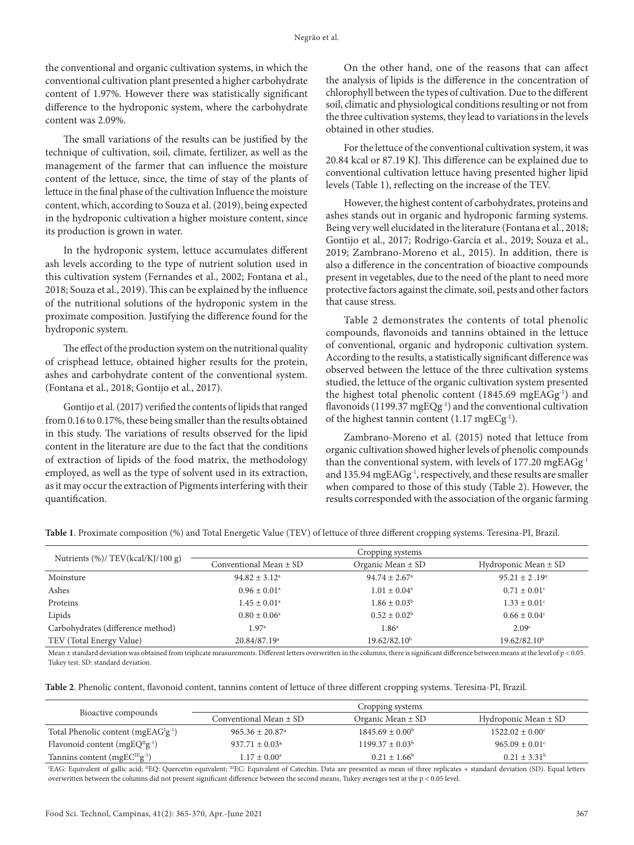the conventional and organic cultivation systems, in which the conventional cultivation plant presented a higher carbohydrate content of 1.97%. However there was statistically significant difference to the hydroponic system, where the carbohydrate content was 2.09%.

The small variations of the results can be justified by the technique of cultivation, soil, climate, fertilizer, as well as the management of the farmer that can influence the moisture content of the lettuce, since, the time of stay of the plants of lettuce in the final phase of the cultivation Influence the moisture content, which, according to Souza et al. (2019), being expected in the hydroponic cultivation a higher moisture content, since its production is grown in water.

In the hydroponic system, lettuce accumulates different ash levels according to the type of nutrient solution used in this cultivation system (Fernandes et al., 2002; Fontana et al., 2018; Souza et al., 2019). This can be explained by the influence of the nutritional solutions of the hydroponic system in the proximate composition. Justifying the difference found for the hydroponic system.

The effect of the production system on the nutritional quality of crisphead lettuce, obtained higher results for the protein, ashes and carbohydrate content of the conventional system. (Fontana et al., 2018; Gontijo et al., 2017).

Gontijo et al. (2017) verified the contents of lipids that ranged from 0.16 to 0.17%, these being smaller than the results obtained in this study. The variations of results observed for the lipid content in the literature are due to the fact that the conditions of extraction of lipids of the food matrix, the methodology employed, as well as the type of solvent used in its extraction, as it may occur the extraction of Pigments interfering with their quantification.

On the other hand, one of the reasons that can affect the analysis of lipids is the difference in the concentration of chlorophyll between the types of cultivation. Due to the different soil, climatic and physiological conditions resulting or not from the three cultivation systems, they lead to variations in the levels obtained in other studies.

For the lettuce of the conventional cultivation system, it was 20.84 kcal or 87.19 KJ. This difference can be explained due to conventional cultivation lettuce having presented higher lipid levels (Table 1), reflecting on the increase of the TEV.

However, the highest content of carbohydrates, proteins and ashes stands out in organic and hydroponic farming systems. Being very well elucidated in the literature (Fontana et al., 2018; Gontijo et al., 2017; Rodrigo-García et al., 2019; Souza et al., 2019; Zambrano-Moreno et al., 2015). In addition, there is also a difference in the concentration of bioactive compounds present in vegetables, due to the need of the plant to need more protective factors against the climate, soil, pests and other factors that cause stress.

Table 2 demonstrates the contents of total phenolic compounds, flavonoids and tannins obtained in the lettuce of conventional, organic and hydroponic cultivation system. According to the results, a statistically significant difference was observed between the lettuce of the three cultivation systems studied, the lettuce of the organic cultivation system presented the highest total phenolic content (1845.69 mgEAGg<sup>1</sup>) and flavonoids (1199.37 mgEQg<sup>-1</sup>) and the conventional cultivation of the highest tannin content (1.17 mgECg-1).

Zambrano-Moreno et al. (2015) noted that lettuce from organic cultivation showed higher levels of phenolic compounds than the conventional system, with levels of 177.20 mgEAGg-1 and 135.94 mgEAGg<sup>-1</sup>, respectively, and these results are smaller when compared to those of this study (Table 2). However, the results corresponded with the association of the organic farming

**Table 1**. Proximate composition (%) and Total Energetic Value (TEV) of lettuce of three different cropping systems. Teresina-PI, Brazil.

| Nutrients (%)/ TEV(kcal/KJ/100 g) | Cropping systems             |                          |                              |  |
|-----------------------------------|------------------------------|--------------------------|------------------------------|--|
|                                   | Conventional Mean $\pm$ SD   | Organic Mean $\pm$ SD    | Hydroponic Mean $\pm$ SD     |  |
| Moinsture                         | $94.82 \pm 3.12^{\circ}$     | $94.74 \pm 2.67^{\circ}$ | $95.21 \pm 2.19^a$           |  |
| Ashes                             | $0.96 \pm 0.01$ <sup>a</sup> | $1.01 \pm 0.04^{\circ}$  | $0.71 \pm 0.01$ <sup>c</sup> |  |
| Proteins                          | $1.45 \pm 0.01^{\circ}$      | $1.86 \pm 0.03^b$        | $1.33 \pm 0.01^{\circ}$      |  |
| Lipids                            | $0.80 \pm 0.06^{\circ}$      | $0.52 \pm 0.02^b$        | $0.66 \pm 0.04$ <sup>c</sup> |  |
| Carbohydrates (difference method) | 1.97a                        | 1.86 <sup>a</sup>        | 2.09c                        |  |
| TEV (Total Energy Value)          | 20.84/87.19 <sup>a</sup>     | 19.62/82.10 <sup>b</sup> | 19.62/82.10 <sup>b</sup>     |  |

Mean ± standard deviation was obtained from triplicate measurements. Different letters overwritten in the columns, there is significant difference between means at the level of p < 0.05. Tukey test. SD: standard deviation.

**Table 2**. Phenolic content, flavonoid content, tannins content of lettuce of three different cropping systems. Teresina-PI, Brazil.

| Bioactive compounds                     | Cropping systems                |                            |                                |
|-----------------------------------------|---------------------------------|----------------------------|--------------------------------|
|                                         | Conventional Mean $\pm$ SD      | Organic Mean $\pm$ SD      | Hydroponic Mean $\pm$ SD       |
| Total Phenolic content (mgEA $GTg-1$ )  | $965.36 \pm 20.87$ <sup>a</sup> | $1845.69 \pm 0.00^{\circ}$ | $1522.02 \pm 0.00^{\circ}$     |
| Flavonoid content ( $mgEQ^{II}g^{-1}$ ) | 937.71 $\pm$ 0.03 <sup>a</sup>  | $1199.37 \pm 0.03^b$       | $965.09 \pm 0.01$ <sup>c</sup> |
| Tannins content ( $mgEC^{III}g^{-1}$ )  | $1.17 \pm 0.00^{\circ}$         | $0.21 \pm 1.66^b$          | $0.21 \pm 3.31^b$              |

I EAG: Equivalent of gallic acid; IIEQ: Quercetin equivalent; IIIEC: Equivalent of Catechin. Data are presented as mean of three replicates + standard deviation (SD). Equal letters overwritten between the columns did not present significant difference between the second means, Tukey averages test at the p < 0.05 level.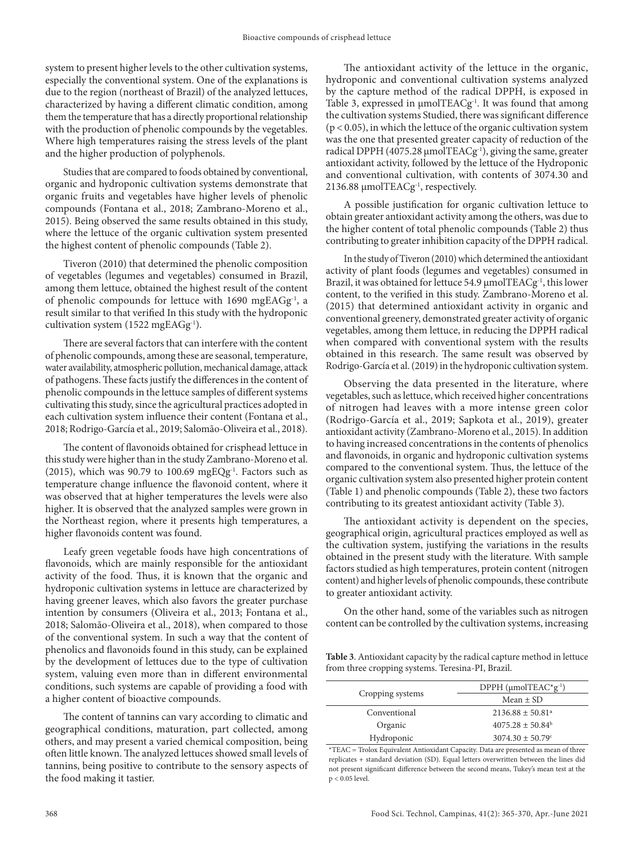system to present higher levels to the other cultivation systems, especially the conventional system. One of the explanations is due to the region (northeast of Brazil) of the analyzed lettuces, characterized by having a different climatic condition, among them the temperature that has a directly proportional relationship with the production of phenolic compounds by the vegetables. Where high temperatures raising the stress levels of the plant and the higher production of polyphenols.

Studies that are compared to foods obtained by conventional, organic and hydroponic cultivation systems demonstrate that organic fruits and vegetables have higher levels of phenolic compounds (Fontana et al., 2018; Zambrano-Moreno et al., 2015). Being observed the same results obtained in this study, where the lettuce of the organic cultivation system presented the highest content of phenolic compounds (Table 2).

Tiveron (2010) that determined the phenolic composition of vegetables (legumes and vegetables) consumed in Brazil, among them lettuce, obtained the highest result of the content of phenolic compounds for lettuce with 1690 mgEAGg<sup>-1</sup>, a result similar to that verified In this study with the hydroponic cultivation system (1522 mgEAGg<sup>-1</sup>).

There are several factors that can interfere with the content of phenolic compounds, among these are seasonal, temperature, water availability, atmospheric pollution, mechanical damage, attack of pathogens. These facts justify the differences in the content of phenolic compounds in the lettuce samples of different systems cultivating this study, since the agricultural practices adopted in each cultivation system influence their content (Fontana et al., 2018; Rodrigo-García et al., 2019; Salomão-Oliveira et al., 2018).

The content of flavonoids obtained for crisphead lettuce in this study were higher than in the study Zambrano-Moreno et al. (2015), which was 90.79 to 100.69 mgEQg<sup>-1</sup>. Factors such as temperature change influence the flavonoid content, where it was observed that at higher temperatures the levels were also higher. It is observed that the analyzed samples were grown in the Northeast region, where it presents high temperatures, a higher flavonoids content was found.

Leafy green vegetable foods have high concentrations of flavonoids, which are mainly responsible for the antioxidant activity of the food. Thus, it is known that the organic and hydroponic cultivation systems in lettuce are characterized by having greener leaves, which also favors the greater purchase intention by consumers (Oliveira et al., 2013; Fontana et al., 2018; Salomão-Oliveira et al., 2018), when compared to those of the conventional system. In such a way that the content of phenolics and flavonoids found in this study, can be explained by the development of lettuces due to the type of cultivation system, valuing even more than in different environmental conditions, such systems are capable of providing a food with a higher content of bioactive compounds.

The content of tannins can vary according to climatic and geographical conditions, maturation, part collected, among others, and may present a varied chemical composition, being often little known. The analyzed lettuces showed small levels of tannins, being positive to contribute to the sensory aspects of the food making it tastier.

The antioxidant activity of the lettuce in the organic, hydroponic and conventional cultivation systems analyzed by the capture method of the radical DPPH, is exposed in Table 3, expressed in  $\mu$ molTEACg<sup>-1</sup>. It was found that among the cultivation systems Studied, there was significant difference  $(p < 0.05)$ , in which the lettuce of the organic cultivation system was the one that presented greater capacity of reduction of the radical DPPH (4075.28  $\mu$ molTEACg<sup>-1</sup>), giving the same, greater antioxidant activity, followed by the lettuce of the Hydroponic and conventional cultivation, with contents of 3074.30 and 2136.88  $\mu$ molTEACg<sup>-1</sup>, respectively.

A possible justification for organic cultivation lettuce to obtain greater antioxidant activity among the others, was due to the higher content of total phenolic compounds (Table 2) thus contributing to greater inhibition capacity of the DPPH radical.

In the study of Tiveron (2010) which determined the antioxidant activity of plant foods (legumes and vegetables) consumed in Brazil, it was obtained for lettuce 54.9 µmolTEACg<sup>-1</sup>, this lower content, to the verified in this study. Zambrano-Moreno et al. (2015) that determined antioxidant activity in organic and conventional greenery, demonstrated greater activity of organic vegetables, among them lettuce, in reducing the DPPH radical when compared with conventional system with the results obtained in this research. The same result was observed by Rodrigo-García et al. (2019) in the hydroponic cultivation system.

Observing the data presented in the literature, where vegetables, such as lettuce, which received higher concentrations of nitrogen had leaves with a more intense green color (Rodrigo-García et al., 2019; Sapkota et al., 2019), greater antioxidant activity (Zambrano-Moreno et al., 2015). In addition to having increased concentrations in the contents of phenolics and flavonoids, in organic and hydroponic cultivation systems compared to the conventional system. Thus, the lettuce of the organic cultivation system also presented higher protein content (Table 1) and phenolic compounds (Table 2), these two factors contributing to its greatest antioxidant activity (Table 3).

The antioxidant activity is dependent on the species, geographical origin, agricultural practices employed as well as the cultivation system, justifying the variations in the results obtained in the present study with the literature. With sample factors studied as high temperatures, protein content (nitrogen content) and higher levels of phenolic compounds, these contribute to greater antioxidant activity.

On the other hand, some of the variables such as nitrogen content can be controlled by the cultivation systems, increasing

**Table 3**. Antioxidant capacity by the radical capture method in lettuce from three cropping systems. Teresina-PI, Brazil.

|                  | DPPH $(\mu \text{mol} T E A C^* g^{-1})$ |  |
|------------------|------------------------------------------|--|
| Cropping systems | Mean $\pm$ SD                            |  |
| Conventional     | $2136.88 \pm 50.81$ <sup>a</sup>         |  |
| Organic          | $4075.28 \pm 50.84^b$                    |  |
| Hydroponic       | $3074.30 \pm 50.79$ <sup>c</sup>         |  |

\*TEAC = Trolox Equivalent Antioxidant Capacity. Data are presented as mean of three replicates + standard deviation (SD). Equal letters overwritten between the lines did not present significant difference between the second means, Tukey's mean test at the p < 0.05 level.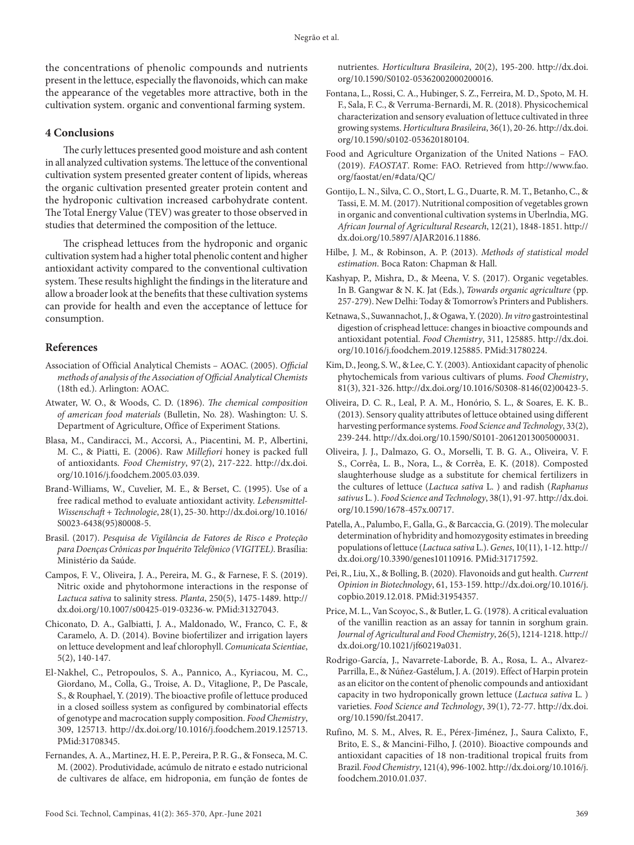the concentrations of phenolic compounds and nutrients present in the lettuce, especially the flavonoids, which can make the appearance of the vegetables more attractive, both in the cultivation system. organic and conventional farming system.

## **4 Conclusions**

The curly lettuces presented good moisture and ash content in all analyzed cultivation systems. The lettuce of the conventional cultivation system presented greater content of lipids, whereas the organic cultivation presented greater protein content and the hydroponic cultivation increased carbohydrate content. The Total Energy Value (TEV) was greater to those observed in studies that determined the composition of the lettuce.

The crisphead lettuces from the hydroponic and organic cultivation system had a higher total phenolic content and higher antioxidant activity compared to the conventional cultivation system. These results highlight the findings in the literature and allow a broader look at the benefits that these cultivation systems can provide for health and even the acceptance of lettuce for consumption.

## **References**

- Association of Official Analytical Chemists AOAC. (2005). *Official methods of analysis of the Association of Official Analytical Chemists* (18th ed.). Arlington: AOAC.
- Atwater, W. O., & Woods, C. D. (1896). *The chemical composition of american food materials* (Bulletin, No. 28). Washington: U. S. Department of Agriculture, Office of Experiment Stations.
- Blasa, M., Candiracci, M., Accorsi, A., Piacentini, M. P., Albertini, M. C., & Piatti, E. (2006). Raw *Millefiori* honey is packed full of antioxidants. *Food Chemistry*, 97(2), 217-222. [http://dx.doi.](https://doi.org/10.1016/j.foodchem.2005.03.039) [org/10.1016/j.foodchem.2005.03.039](https://doi.org/10.1016/j.foodchem.2005.03.039).
- Brand-Williams, W., Cuvelier, M. E., & Berset, C. (1995). Use of a free radical method to evaluate antioxidant activity. *Lebensmittel-Wissenschaft + Technologie*, 28(1), 25-30. [http://dx.doi.org/10.1016/](https://doi.org/10.1016/S0023-6438(95)80008-5) [S0023-6438\(95\)80008-5.](https://doi.org/10.1016/S0023-6438(95)80008-5)
- Brasil. (2017). *Pesquisa de Vigilância de Fatores de Risco e Proteção para Doenças Crônicas por Inquérito Telefônico (VIGITEL)*. Brasília: Ministério da Saúde.
- Campos, F. V., Oliveira, J. A., Pereira, M. G., & Farnese, F. S. (2019). Nitric oxide and phytohormone interactions in the response of *Lactuca sativa* to salinity stress. *Planta*, 250(5), 1475-1489. [http://](https://doi.org/10.1007/s00425-019-03236-w) [dx.doi.org/10.1007/s00425-019-03236-w](https://doi.org/10.1007/s00425-019-03236-w)[. PMid:31327043.](https://www.ncbi.nlm.nih.gov/entrez/query.fcgi?cmd=Retrieve&db=PubMed&list_uids=31327043&dopt=Abstract)
- Chiconato, D. A., Galbiatti, J. A., Maldonado, W., Franco, C. F., & Caramelo, A. D. (2014). Bovine biofertilizer and irrigation layers on lettuce development and leaf chlorophyll. *Comunicata Scientiae*, 5(2), 140-147.
- El-Nakhel, C., Petropoulos, S. A., Pannico, A., Kyriacou, M. C., Giordano, M., Colla, G., Troise, A. D., Vitaglione, P., De Pascale, S., & Rouphael, Y. (2019). The bioactive profile of lettuce produced in a closed soilless system as configured by combinatorial effects of genotype and macrocation supply composition. *Food Chemistry*, 309, 125713. [http://dx.doi.org/10.1016/j.foodchem.2019.125713](https://doi.org/10.1016/j.foodchem.2019.125713). [PMid:31708345.](https://www.ncbi.nlm.nih.gov/entrez/query.fcgi?cmd=Retrieve&db=PubMed&list_uids=31708345&dopt=Abstract)
- Fernandes, A. A., Martinez, H. E. P., Pereira, P. R. G., & Fonseca, M. C. M. (2002). Produtividade, acúmulo de nitrato e estado nutricional de cultivares de alface, em hidroponia, em função de fontes de

nutrientes. *Horticultura Brasileira*, 20(2), 195-200. [http://dx.doi.](https://doi.org/10.1590/S0102-05362002000200016) [org/10.1590/S0102-05362002000200016.](https://doi.org/10.1590/S0102-05362002000200016)

- Fontana, L., Rossi, C. A., Hubinger, S. Z., Ferreira, M. D., Spoto, M. H. F., Sala, F. C., & Verruma-Bernardi, M. R. (2018). Physicochemical characterization and sensory evaluation of lettuce cultivated in three growing systems. *Horticultura Brasileira*, 36(1), 20-26. [http://dx.doi.](https://doi.org/10.1590/s0102-053620180104) [org/10.1590/s0102-053620180104.](https://doi.org/10.1590/s0102-053620180104)
- Food and Agriculture Organization of the United Nations FAO. (2019). *FAOSTAT*. Rome: FAO. Retrieved from http://www.fao. org/faostat/en/#data/QC/
- Gontijo, L. N., Silva, C. O., Stort, L. G., Duarte, R. M. T., Betanho, C., & Tassi, E. M. M. (2017). Nutritional composition of vegetables grown in organic and conventional cultivation systems in Uberlndia, MG. *African Journal of Agricultural Research*, 12(21), 1848-1851. [http://](https://doi.org/10.5897/AJAR2016.11886) [dx.doi.org/10.5897/AJAR2016.11886.](https://doi.org/10.5897/AJAR2016.11886)
- Hilbe, J. M., & Robinson, A. P. (2013). *Methods of statistical model estimation*. Boca Raton: Chapman & Hall.
- Kashyap, P., Mishra, D., & Meena, V. S. (2017). Organic vegetables. In B. Gangwar & N. K. Jat (Eds.), *Towards organic agriculture* (pp. 257-279). New Delhi: Today & Tomorrow's Printers and Publishers.
- Ketnawa, S., Suwannachot, J., & Ogawa, Y. (2020). *In vitro* gastrointestinal digestion of crisphead lettuce: changes in bioactive compounds and antioxidant potential. *Food Chemistry*, 311, 125885. [http://dx.doi.](https://doi.org/10.1016/j.foodchem.2019.125885) [org/10.1016/j.foodchem.2019.125885](https://doi.org/10.1016/j.foodchem.2019.125885)[. PMid:31780224.](https://www.ncbi.nlm.nih.gov/entrez/query.fcgi?cmd=Retrieve&db=PubMed&list_uids=31780224&dopt=Abstract)
- Kim, D., Jeong, S. W., & Lee, C. Y. (2003). Antioxidant capacity of phenolic phytochemicals from various cultivars of plums. *Food Chemistry*, 81(3), 321-326. [http://dx.doi.org/10.1016/S0308-8146\(02\)00423-5.](https://doi.org/10.1016/S0308-8146(02)00423-5)
- Oliveira, D. C. R., Leal, P. A. M., Honório, S. L., & Soares, E. K. B.. (2013). Sensory quality attributes of lettuce obtained using different harvesting performance systems. *Food Science and Technology*, 33(2), 239-244. [http://dx.doi.org/10.1590/S0101-20612013005000031](https://doi.org/10.1590/S0101-20612013005000031).
- Oliveira, J. J., Dalmazo, G. O., Morselli, T. B. G. A., Oliveira, V. F. S., Corrêa, L. B., Nora, L., & Corrêa, E. K. (2018). Composted slaughterhouse sludge as a substitute for chemical fertilizers in the cultures of lettuce (*Lactuca sativa* L. ) and radish (*Raphanus sativus* L. ). *Food Science and Technology*, 38(1), 91-97. [http://dx.doi.](https://doi.org/10.1590/1678-457x.00717) [org/10.1590/1678-457x.00717.](https://doi.org/10.1590/1678-457x.00717)
- Patella, A., Palumbo, F., Galla, G., & Barcaccia, G. (2019). The molecular determination of hybridity and homozygosity estimates in breeding populations of lettuce (*Lactuca sativa* L.). *Genes*, 10(11), 1-12. [http://](https://doi.org/10.3390/genes10110916) [dx.doi.org/10.3390/genes10110916.](https://doi.org/10.3390/genes10110916) [PMid:31717592.](https://www.ncbi.nlm.nih.gov/entrez/query.fcgi?cmd=Retrieve&db=PubMed&list_uids=31717592&dopt=Abstract)
- Pei, R., Liu, X., & Bolling, B. (2020). Flavonoids and gut health. *Current Opinion in Biotechnology*, 61, 153-159. [http://dx.doi.org/10.1016/j.](https://doi.org/10.1016/j.copbio.2019.12.018) [copbio.2019.12.018.](https://doi.org/10.1016/j.copbio.2019.12.018) [PMid:31954357.](https://www.ncbi.nlm.nih.gov/entrez/query.fcgi?cmd=Retrieve&db=PubMed&list_uids=31954357&dopt=Abstract)
- Price, M. L., Van Scoyoc, S., & Butler, L. G. (1978). A critical evaluation of the vanillin reaction as an assay for tannin in sorghum grain. *Journal of Agricultural and Food Chemistry*, 26(5), 1214-1218. [http://](https://doi.org/10.1021/jf60219a031) [dx.doi.org/10.1021/jf60219a031.](https://doi.org/10.1021/jf60219a031)
- Rodrigo-García, J., Navarrete-Laborde, B. A., Rosa, L. A., Alvarez-Parrilla, E., & Núñez-Gastélum, J. A. (2019). Effect of Harpin protein as an elicitor on the content of phenolic compounds and antioxidant capacity in two hydroponically grown lettuce (*Lactuca sativa* L. ) varieties. *Food Science and Technology*, 39(1), 72-77. [http://dx.doi.](https://doi.org/10.1590/fst.20417) [org/10.1590/fst.20417.](https://doi.org/10.1590/fst.20417)
- Rufino, M. S. M., Alves, R. E., Pérex-Jiménez, J., Saura Calixto, F., Brito, E. S., & Mancini-Filho, J. (2010). Bioactive compounds and antioxidant capacities of 18 non-traditional tropical fruits from Brazil. *Food Chemistry*, 121(4), 996-1002. [http://dx.doi.org/10.1016/j.](https://doi.org/10.1016/j.foodchem.2010.01.037) [foodchem.2010.01.037.](https://doi.org/10.1016/j.foodchem.2010.01.037)